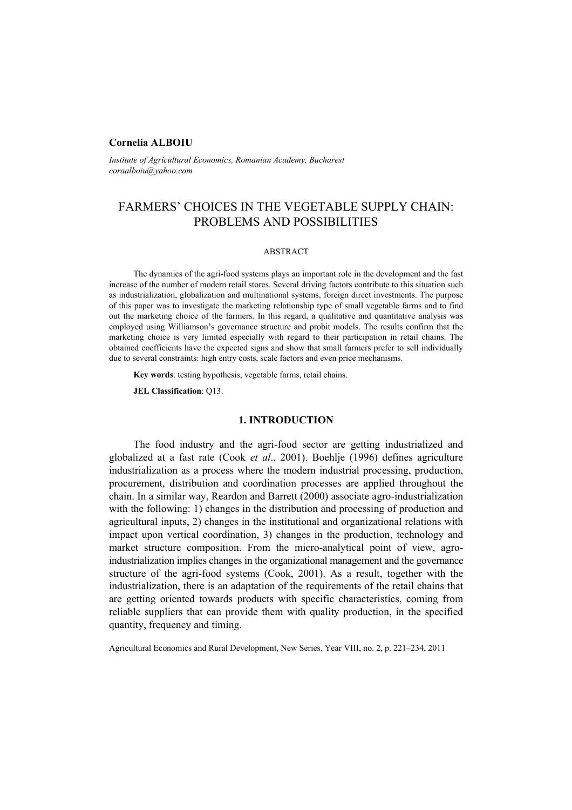## **Cornelia ALBOIU**

*Institute of Agricultural Economics, Romanian Academy, Bucharest coraalboiu@yahoo.com* 

# FARMERS' CHOICES IN THE VEGETABLE SUPPLY CHAIN: PROBLEMS AND POSSIBILITIES

#### ABSTRACT

The dynamics of the agri-food systems plays an important role in the development and the fast increase of the number of modern retail stores. Several driving factors contribute to this situation such as industrialization, globalization and multinational systems, foreign direct investments. The purpose of this paper was to investigate the marketing relationship type of small vegetable farms and to find out the marketing choice of the farmers. In this regard, a qualitative and quantitative analysis was employed using Williamson's governance structure and probit models. The results confirm that the marketing choice is very limited especially with regard to their participation in retail chains. The obtained coefficients have the expected signs and show that small farmers prefer to sell individually due to several constraints: high entry costs, scale factors and even price mechanisms.

**Key words**: testing hypothesis, vegetable farms, retail chains.

**JEL Classification**: Q13.

# **1. INTRODUCTION**

The food industry and the agri-food sector are getting industrialized and globalized at a fast rate (Cook *et al*., 2001). Boehlje (1996) defines agriculture industrialization as a process where the modern industrial processing, production, procurement, distribution and coordination processes are applied throughout the chain. In a similar way, Reardon and Barrett (2000) associate agro-industrialization with the following: 1) changes in the distribution and processing of production and agricultural inputs, 2) changes in the institutional and organizational relations with impact upon vertical coordination, 3) changes in the production, technology and market structure composition. From the micro-analytical point of view, agroindustrialization implies changes in the organizational management and the governance structure of the agri-food systems (Cook, 2001). As a result, together with the industrialization, there is an adaptation of the requirements of the retail chains that are getting oriented towards products with specific characteristics, coming from reliable suppliers that can provide them with quality production, in the specified quantity, frequency and timing.

Agricultural Economics and Rural Development, New Series, Year VIII, no. 2, p. 221–234, 2011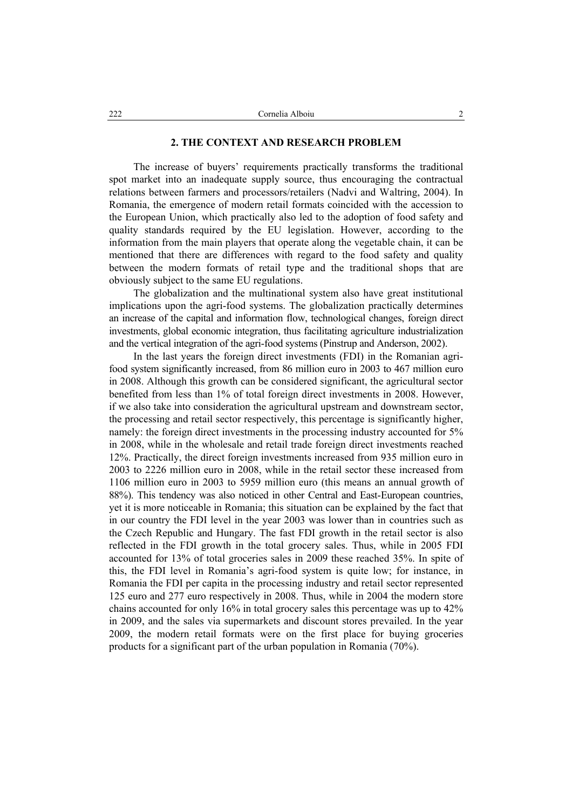# **2. THE CONTEXT AND RESEARCH PROBLEM**

The increase of buyers' requirements practically transforms the traditional spot market into an inadequate supply source, thus encouraging the contractual relations between farmers and processors/retailers (Nadvi and Waltring, 2004). In Romania, the emergence of modern retail formats coincided with the accession to the European Union, which practically also led to the adoption of food safety and quality standards required by the EU legislation. However, according to the information from the main players that operate along the vegetable chain, it can be mentioned that there are differences with regard to the food safety and quality between the modern formats of retail type and the traditional shops that are obviously subject to the same EU regulations.

The globalization and the multinational system also have great institutional implications upon the agri-food systems. The globalization practically determines an increase of the capital and information flow, technological changes, foreign direct investments, global economic integration, thus facilitating agriculture industrialization and the vertical integration of the agri-food systems (Pinstrup and Anderson, 2002).

In the last years the foreign direct investments (FDI) in the Romanian agrifood system significantly increased, from 86 million euro in 2003 to 467 million euro in 2008. Although this growth can be considered significant, the agricultural sector benefited from less than 1% of total foreign direct investments in 2008. However, if we also take into consideration the agricultural upstream and downstream sector, the processing and retail sector respectively, this percentage is significantly higher, namely: the foreign direct investments in the processing industry accounted for 5% in 2008, while in the wholesale and retail trade foreign direct investments reached 12%. Practically, the direct foreign investments increased from 935 million euro in 2003 to 2226 million euro in 2008, while in the retail sector these increased from 1106 million euro in 2003 to 5959 million euro (this means an annual growth of 88%). This tendency was also noticed in other Central and East-European countries, yet it is more noticeable in Romania; this situation can be explained by the fact that in our country the FDI level in the year 2003 was lower than in countries such as the Czech Republic and Hungary. The fast FDI growth in the retail sector is also reflected in the FDI growth in the total grocery sales. Thus, while in 2005 FDI accounted for 13% of total groceries sales in 2009 these reached 35%. In spite of this, the FDI level in Romania's agri-food system is quite low; for instance, in Romania the FDI per capita in the processing industry and retail sector represented 125 euro and 277 euro respectively in 2008. Thus, while in 2004 the modern store chains accounted for only 16% in total grocery sales this percentage was up to 42% in 2009, and the sales via supermarkets and discount stores prevailed. In the year 2009, the modern retail formats were on the first place for buying groceries products for a significant part of the urban population in Romania (70%).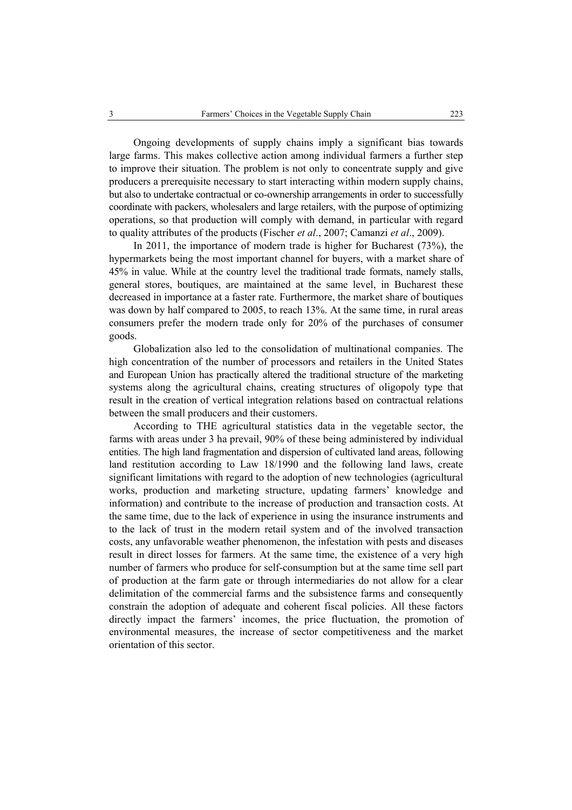Ongoing developments of supply chains imply a significant bias towards large farms. This makes collective action among individual farmers a further step to improve their situation. The problem is not only to concentrate supply and give producers a prerequisite necessary to start interacting within modern supply chains, but also to undertake contractual or co-ownership arrangements in order to successfully coordinate with packers, wholesalers and large retailers, with the purpose of optimizing operations, so that production will comply with demand, in particular with regard to quality attributes of the products (Fischer *et al*., 2007; Camanzi *et al*., 2009).

In 2011, the importance of modern trade is higher for Bucharest (73%), the hypermarkets being the most important channel for buyers, with a market share of 45% in value. While at the country level the traditional trade formats, namely stalls, general stores, boutiques, are maintained at the same level, in Bucharest these decreased in importance at a faster rate. Furthermore, the market share of boutiques was down by half compared to 2005, to reach 13%. At the same time, in rural areas consumers prefer the modern trade only for 20% of the purchases of consumer goods.

Globalization also led to the consolidation of multinational companies. The high concentration of the number of processors and retailers in the United States and European Union has practically altered the traditional structure of the marketing systems along the agricultural chains, creating structures of oligopoly type that result in the creation of vertical integration relations based on contractual relations between the small producers and their customers.

According to THE agricultural statistics data in the vegetable sector, the farms with areas under 3 ha prevail, 90% of these being administered by individual entities. The high land fragmentation and dispersion of cultivated land areas, following land restitution according to Law 18/1990 and the following land laws, create significant limitations with regard to the adoption of new technologies (agricultural works, production and marketing structure, updating farmers' knowledge and information) and contribute to the increase of production and transaction costs. At the same time, due to the lack of experience in using the insurance instruments and to the lack of trust in the modern retail system and of the involved transaction costs, any unfavorable weather phenomenon, the infestation with pests and diseases result in direct losses for farmers. At the same time, the existence of a very high number of farmers who produce for self-consumption but at the same time sell part of production at the farm gate or through intermediaries do not allow for a clear delimitation of the commercial farms and the subsistence farms and consequently constrain the adoption of adequate and coherent fiscal policies. All these factors directly impact the farmers' incomes, the price fluctuation, the promotion of environmental measures, the increase of sector competitiveness and the market orientation of this sector.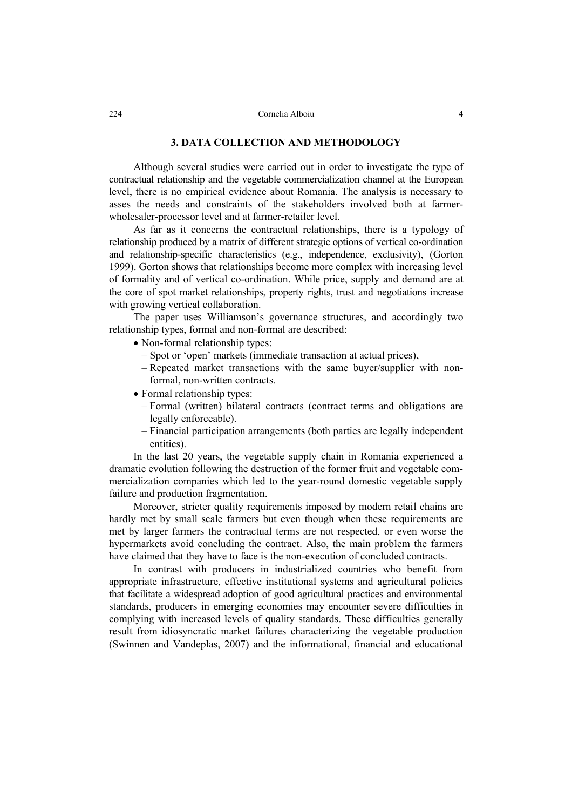# **3. DATA COLLECTION AND METHODOLOGY**

Although several studies were carried out in order to investigate the type of contractual relationship and the vegetable commercialization channel at the European level, there is no empirical evidence about Romania. The analysis is necessary to asses the needs and constraints of the stakeholders involved both at farmerwholesaler-processor level and at farmer-retailer level.

As far as it concerns the contractual relationships, there is a typology of relationship produced by a matrix of different strategic options of vertical co-ordination and relationship-specific characteristics (e.g., independence, exclusivity), (Gorton 1999). Gorton shows that relationships become more complex with increasing level of formality and of vertical co-ordination. While price, supply and demand are at the core of spot market relationships, property rights, trust and negotiations increase with growing vertical collaboration.

The paper uses Williamson's governance structures, and accordingly two relationship types, formal and non-formal are described:

- Non-formal relationship types:
	- Spot or 'open' markets (immediate transaction at actual prices),
	- Repeated market transactions with the same buyer/supplier with nonformal, non-written contracts.
- Formal relationship types:
	- Formal (written) bilateral contracts (contract terms and obligations are legally enforceable).
	- Financial participation arrangements (both parties are legally independent entities).

In the last 20 years, the vegetable supply chain in Romania experienced a dramatic evolution following the destruction of the former fruit and vegetable commercialization companies which led to the year-round domestic vegetable supply failure and production fragmentation.

Moreover, stricter quality requirements imposed by modern retail chains are hardly met by small scale farmers but even though when these requirements are met by larger farmers the contractual terms are not respected, or even worse the hypermarkets avoid concluding the contract. Also, the main problem the farmers have claimed that they have to face is the non-execution of concluded contracts.

In contrast with producers in industrialized countries who benefit from appropriate infrastructure, effective institutional systems and agricultural policies that facilitate a widespread adoption of good agricultural practices and environmental standards, producers in emerging economies may encounter severe difficulties in complying with increased levels of quality standards. These difficulties generally result from idiosyncratic market failures characterizing the vegetable production (Swinnen and Vandeplas, 2007) and the informational, financial and educational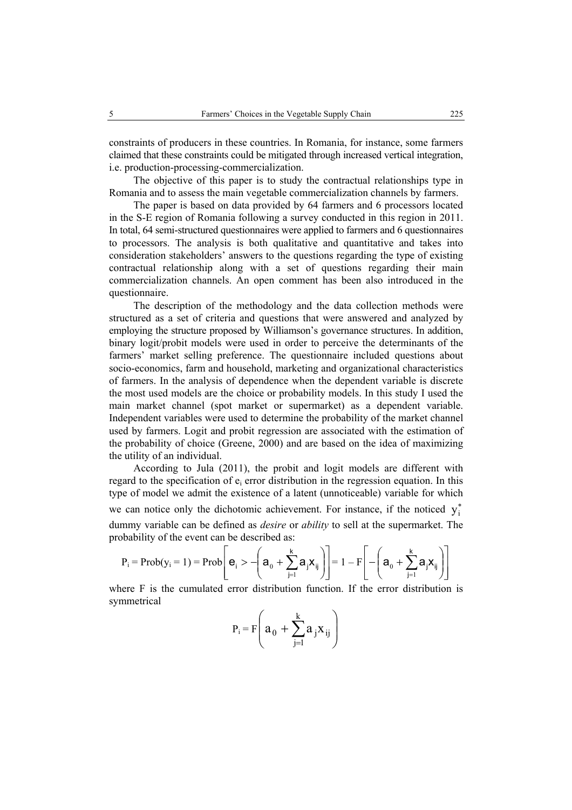constraints of producers in these countries. In Romania, for instance, some farmers claimed that these constraints could be mitigated through increased vertical integration, i.e. production-processing-commercialization.

The objective of this paper is to study the contractual relationships type in Romania and to assess the main vegetable commercialization channels by farmers.

The paper is based on data provided by 64 farmers and 6 processors located in the S-E region of Romania following a survey conducted in this region in 2011. In total, 64 semi-structured questionnaires were applied to farmers and 6 questionnaires to processors. The analysis is both qualitative and quantitative and takes into consideration stakeholders' answers to the questions regarding the type of existing contractual relationship along with a set of questions regarding their main commercialization channels. An open comment has been also introduced in the questionnaire.

The description of the methodology and the data collection methods were structured as a set of criteria and questions that were answered and analyzed by employing the structure proposed by Williamson's governance structures. In addition, binary logit/probit models were used in order to perceive the determinants of the farmers' market selling preference. The questionnaire included questions about socio-economics, farm and household, marketing and organizational characteristics of farmers. In the analysis of dependence when the dependent variable is discrete the most used models are the choice or probability models. In this study I used the main market channel (spot market or supermarket) as a dependent variable. Independent variables were used to determine the probability of the market channel used by farmers. Logit and probit regression are associated with the estimation of the probability of choice (Greene, 2000) and are based on the idea of maximizing the utility of an individual.

According to Jula (2011), the probit and logit models are different with regard to the specification of  $e_i$  error distribution in the regression equation. In this type of model we admit the existence of a latent (unnoticeable) variable for which we can notice only the dichotomic achievement. For instance, if the noticed  $y_i^*$ dummy variable can be defined as *desire* or *ability* to sell at the supermarket. The probability of the event can be described as:

$$
P_i = Prob(y_i = 1) = Prob\left[\mathbf{e}_i > -\left(\mathbf{a}_0 + \sum_{j=1}^k \mathbf{a}_j \mathbf{x}_{ij}\right)\right] = 1 - F\left[-\left(\mathbf{a}_0 + \sum_{j=1}^k \mathbf{a}_j \mathbf{x}_{ij}\right)\right]
$$

where F is the cumulated error distribution function. If the error distribution is symmetrical

$$
P_i = F\left(a_0 + \sum_{j=1}^k a_j x_{ij}\right)
$$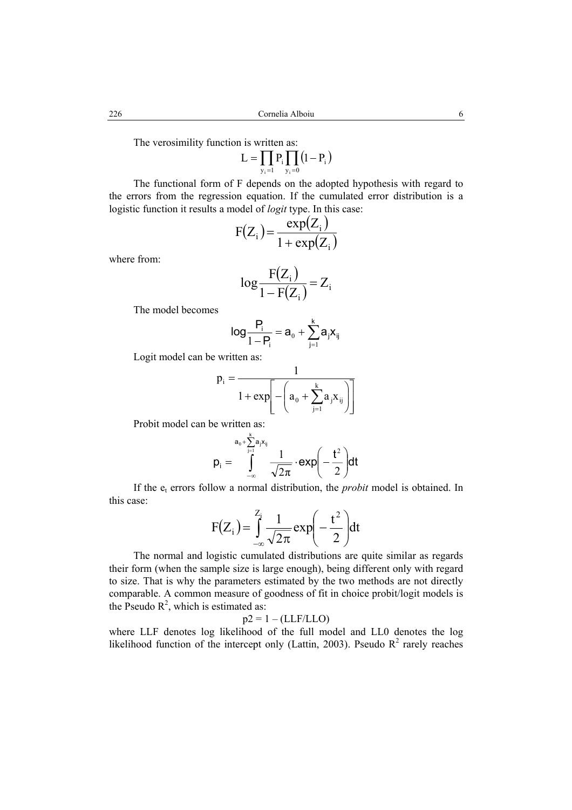The verosimility function is written as:

$$
L=\prod_{y_i=1}P_i\prod_{y_i=0}\left(l-P_i\right)
$$

The functional form of F depends on the adopted hypothesis with regard to the errors from the regression equation. If the cumulated error distribution is a logistic function it results a model of *logit* type. In this case:

$$
F(Z_i) = \frac{\exp(Z_i)}{1 + \exp(Z_i)}
$$

where from:

$$
\log \frac{F(Z_i)}{1 - F(Z_i)} = Z_i
$$

The model becomes

$$
\log \frac{P_i}{1 - P_i} = a_0 + \sum_{j=1}^k a_j x_{ij}
$$

Logit model can be written as:

$$
p_i = \frac{1}{1 + \exp\left[-\left(a_0 + \sum_{j=1}^k a_j x_{ij}\right)\right]}
$$

Probit model can be written as:

$$
p_i = \int_{-\infty}^{a_0 + \sum_{j=1}^k a_j x_{ij}} \frac{1}{\sqrt{2\pi}} \cdot \text{exp}\left(-\frac{t^2}{2}\right) dt
$$

If the et errors follow a normal distribution, the *probit* model is obtained. In this case:

$$
F(Z_i) = \int_{-\infty}^{Z_i} \frac{1}{\sqrt{2\pi}} \exp\left(-\frac{t^2}{2}\right) dt
$$

The normal and logistic cumulated distributions are quite similar as regards their form (when the sample size is large enough), being different only with regard to size. That is why the parameters estimated by the two methods are not directly comparable. A common measure of goodness of fit in choice probit/logit models is the Pseudo  $\mathbb{R}^2$ , which is estimated as:

 $p2 = 1 - (LLF/LLO)$ 

where LLF denotes log likelihood of the full model and LL0 denotes the log likelihood function of the intercept only (Lattin, 2003). Pseudo  $R^2$  rarely reaches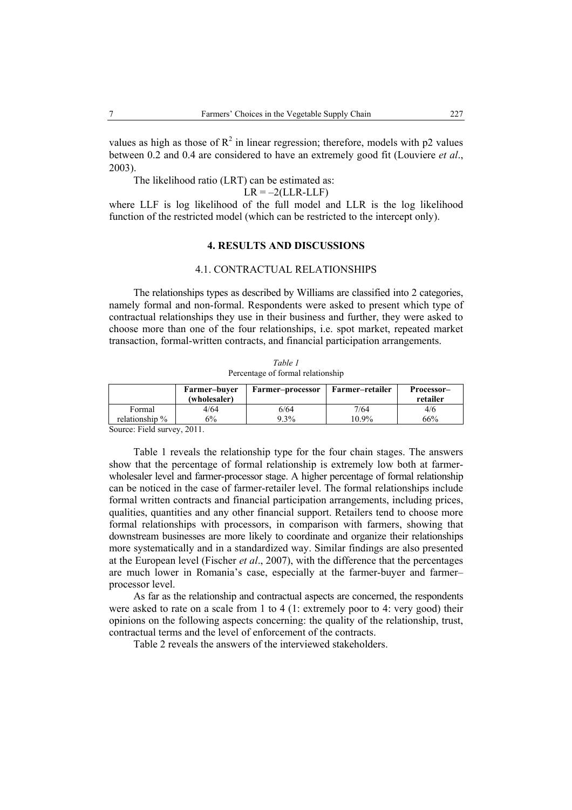values as high as those of  $R^2$  in linear regression; therefore, models with p2 values between 0.2 and 0.4 are considered to have an extremely good fit (Louviere *et al*., 2003).

The likelihood ratio (LRT) can be estimated as:

 $LR = -2(LLR-LLF)$ 

where LLF is log likelihood of the full model and LLR is the log likelihood function of the restricted model (which can be restricted to the intercept only).

#### **4. RESULTS AND DISCUSSIONS**

# 4.1. CONTRACTUAL RELATIONSHIPS

The relationships types as described by Williams are classified into 2 categories, namely formal and non-formal. Respondents were asked to present which type of contractual relationships they use in their business and further, they were asked to choose more than one of the four relationships, i.e. spot market, repeated market transaction, formal-written contracts, and financial participation arrangements.

*Table 1* Percentage of formal relationship

|                     | Farmer-buver<br>(wholesaler) | Farmer–processor | Farmer–retailer | Processor-<br>retailer |
|---------------------|------------------------------|------------------|-----------------|------------------------|
| Formal              | 4/64                         | 6/64             | 7/64            | 4/6                    |
| relationship %      | 6%                           | $9.3\%$          | 10.9%           | 66%                    |
| $-1$ $-1$<br>$\sim$ | $\sim$ $\sim$ $\sim$         |                  |                 |                        |

Source: Field survey, 2011.

Table 1 reveals the relationship type for the four chain stages. The answers show that the percentage of formal relationship is extremely low both at farmerwholesaler level and farmer-processor stage. A higher percentage of formal relationship can be noticed in the case of farmer-retailer level. The formal relationships include formal written contracts and financial participation arrangements, including prices, qualities, quantities and any other financial support. Retailers tend to choose more formal relationships with processors, in comparison with farmers, showing that downstream businesses are more likely to coordinate and organize their relationships more systematically and in a standardized way. Similar findings are also presented at the European level (Fischer *et al*., 2007), with the difference that the percentages are much lower in Romania's case, especially at the farmer-buyer and farmer– processor level.

As far as the relationship and contractual aspects are concerned, the respondents were asked to rate on a scale from 1 to 4 (1: extremely poor to 4: very good) their opinions on the following aspects concerning: the quality of the relationship, trust, contractual terms and the level of enforcement of the contracts.

Table 2 reveals the answers of the interviewed stakeholders.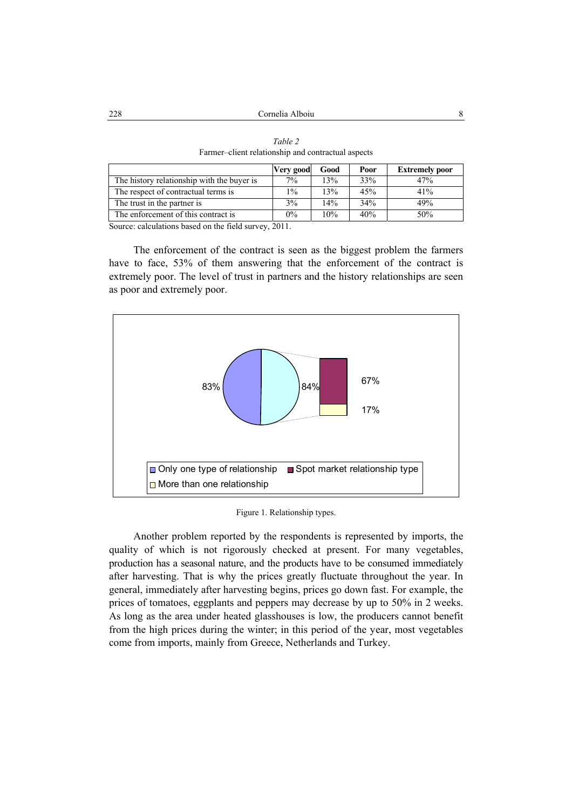|                                            | Very good | Good | Poor | <b>Extremely poor</b> |
|--------------------------------------------|-----------|------|------|-----------------------|
| The history relationship with the buyer is | $7\%$     | 13%  | 33%  | 47%                   |
| The respect of contractual terms is        | $1\%$     | 13%  | 45%  | 41%                   |
| The trust in the partner is                | 3%        | 14%  | 34%  | 49%                   |
| The enforcement of this contract is        | $0\%$     | 10%  | 40%  | 50%                   |

*Table 2*  Farmer–client relationship and contractual aspects

Source: calculations based on the field survey, 2011.

The enforcement of the contract is seen as the biggest problem the farmers have to face, 53% of them answering that the enforcement of the contract is extremely poor. The level of trust in partners and the history relationships are seen as poor and extremely poor.



Figure 1. Relationship types.

Another problem reported by the respondents is represented by imports, the quality of which is not rigorously checked at present. For many vegetables, production has a seasonal nature, and the products have to be consumed immediately after harvesting. That is why the prices greatly fluctuate throughout the year. In general, immediately after harvesting begins, prices go down fast. For example, the prices of tomatoes, eggplants and peppers may decrease by up to 50% in 2 weeks. As long as the area under heated glasshouses is low, the producers cannot benefit from the high prices during the winter; in this period of the year, most vegetables come from imports, mainly from Greece, Netherlands and Turkey.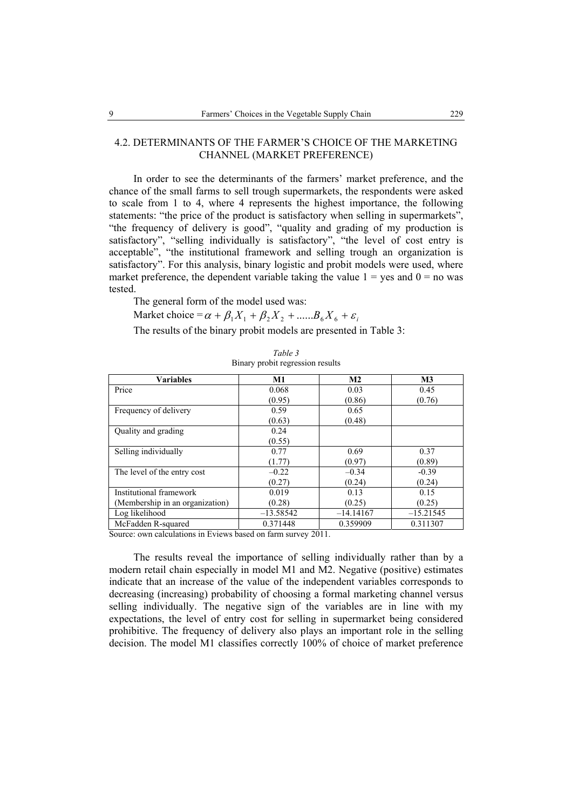# 4.2. DETERMINANTS OF THE FARMER'S CHOICE OF THE MARKETING CHANNEL (MARKET PREFERENCE)

In order to see the determinants of the farmers' market preference, and the chance of the small farms to sell trough supermarkets, the respondents were asked to scale from 1 to 4, where 4 represents the highest importance, the following statements: "the price of the product is satisfactory when selling in supermarkets", "the frequency of delivery is good", "quality and grading of my production is satisfactory", "selling individually is satisfactory", "the level of cost entry is acceptable", "the institutional framework and selling trough an organization is satisfactory". For this analysis, binary logistic and probit models were used, where market preference, the dependent variable taking the value  $1 = yes$  and  $0 = no$  was tested.

The general form of the model used was:

Market choice =  $\alpha + \beta_1 X_1 + \beta_2 X_2 + \dots B_6 X_6 + \varepsilon_i$ 

The results of the binary probit models are presented in Table 3:

| <b>Variables</b>                | <b>M1</b>   | M <sub>2</sub> |             |
|---------------------------------|-------------|----------------|-------------|
| Price                           | 0.068       | 0.03           | 0.45        |
|                                 | (0.95)      | (0.86)         | (0.76)      |
| Frequency of delivery           | 0.59        | 0.65           |             |
|                                 | (0.63)      | (0.48)         |             |
| Quality and grading             | 0.24        |                |             |
|                                 | (0.55)      |                |             |
| Selling individually            | 0.77        | 0.69           | 0.37        |
|                                 | (1.77)      | (0.97)         | (0.89)      |
| The level of the entry cost     | $-0.22$     | $-0.34$        | $-0.39$     |
|                                 | (0.27)      | (0.24)         | (0.24)      |
| Institutional framework         | 0.019       | 0.13           | 0.15        |
| (Membership in an organization) | (0.28)      | (0.25)         | (0.25)      |
| Log likelihood                  | $-13.58542$ | $-14.14167$    | $-15.21545$ |
| McFadden R-squared              | 0.371448    | 0.359909       | 0.311307    |

*Table 3*  Binary probit regression results

Source: own calculations in Eviews based on farm survey 2011.

The results reveal the importance of selling individually rather than by a modern retail chain especially in model M1 and M2. Negative (positive) estimates indicate that an increase of the value of the independent variables corresponds to decreasing (increasing) probability of choosing a formal marketing channel versus selling individually. The negative sign of the variables are in line with my expectations, the level of entry cost for selling in supermarket being considered prohibitive. The frequency of delivery also plays an important role in the selling decision. The model M1 classifies correctly 100% of choice of market preference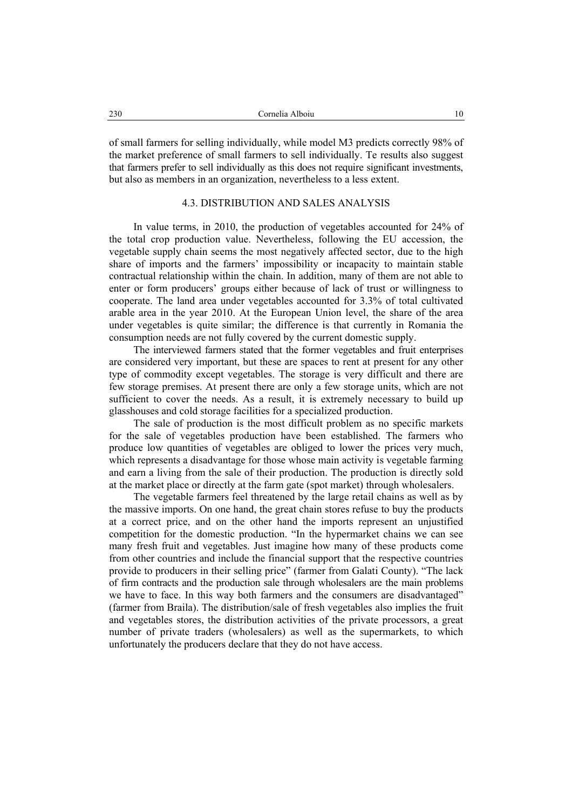of small farmers for selling individually, while model M3 predicts correctly 98% of the market preference of small farmers to sell individually. Te results also suggest that farmers prefer to sell individually as this does not require significant investments, but also as members in an organization, nevertheless to a less extent.

# 4.3. DISTRIBUTION AND SALES ANALYSIS

In value terms, in 2010, the production of vegetables accounted for 24% of the total crop production value. Nevertheless, following the EU accession, the vegetable supply chain seems the most negatively affected sector, due to the high share of imports and the farmers' impossibility or incapacity to maintain stable contractual relationship within the chain. In addition, many of them are not able to enter or form producers' groups either because of lack of trust or willingness to cooperate. The land area under vegetables accounted for 3.3% of total cultivated arable area in the year 2010. At the European Union level, the share of the area under vegetables is quite similar; the difference is that currently in Romania the consumption needs are not fully covered by the current domestic supply.

The interviewed farmers stated that the former vegetables and fruit enterprises are considered very important, but these are spaces to rent at present for any other type of commodity except vegetables. The storage is very difficult and there are few storage premises. At present there are only a few storage units, which are not sufficient to cover the needs. As a result, it is extremely necessary to build up glasshouses and cold storage facilities for a specialized production.

The sale of production is the most difficult problem as no specific markets for the sale of vegetables production have been established. The farmers who produce low quantities of vegetables are obliged to lower the prices very much, which represents a disadvantage for those whose main activity is vegetable farming and earn a living from the sale of their production. The production is directly sold at the market place or directly at the farm gate (spot market) through wholesalers.

The vegetable farmers feel threatened by the large retail chains as well as by the massive imports. On one hand, the great chain stores refuse to buy the products at a correct price, and on the other hand the imports represent an unjustified competition for the domestic production. "In the hypermarket chains we can see many fresh fruit and vegetables. Just imagine how many of these products come from other countries and include the financial support that the respective countries provide to producers in their selling price" (farmer from Galati County). "The lack of firm contracts and the production sale through wholesalers are the main problems we have to face. In this way both farmers and the consumers are disadvantaged" (farmer from Braila). The distribution/sale of fresh vegetables also implies the fruit and vegetables stores, the distribution activities of the private processors, a great number of private traders (wholesalers) as well as the supermarkets, to which unfortunately the producers declare that they do not have access.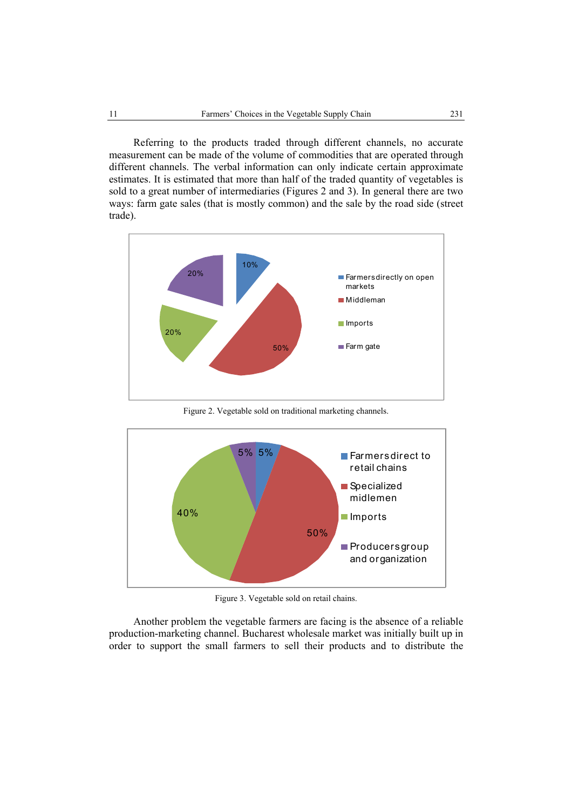Referring to the products traded through different channels, no accurate measurement can be made of the volume of commodities that are operated through different channels. The verbal information can only indicate certain approximate estimates. It is estimated that more than half of the traded quantity of vegetables is sold to a great number of intermediaries (Figures 2 and 3). In general there are two ways: farm gate sales (that is mostly common) and the sale by the road side (street trade).



Figure 2. Vegetable sold on traditional marketing channels.



Figure 3. Vegetable sold on retail chains.

Another problem the vegetable farmers are facing is the absence of a reliable production-marketing channel. Bucharest wholesale market was initially built up in order to support the small farmers to sell their products and to distribute the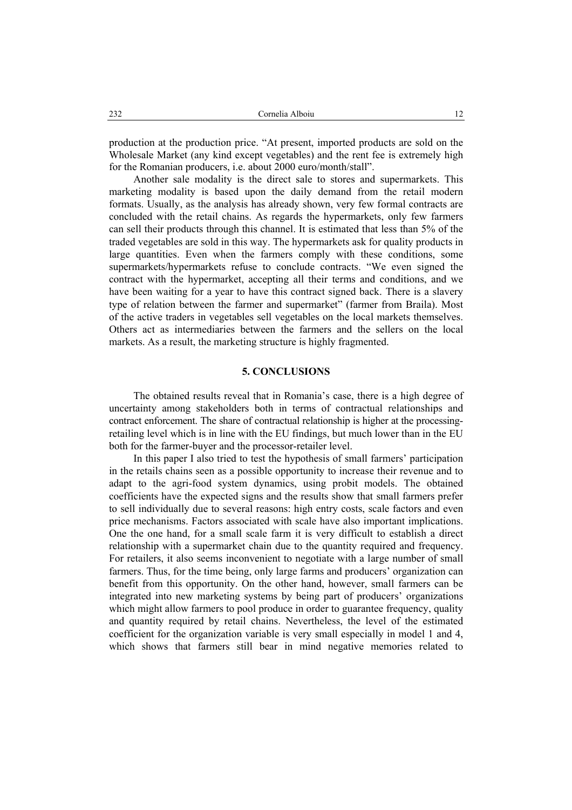production at the production price. "At present, imported products are sold on the Wholesale Market (any kind except vegetables) and the rent fee is extremely high for the Romanian producers, i.e. about 2000 euro/month/stall".

Another sale modality is the direct sale to stores and supermarkets. This marketing modality is based upon the daily demand from the retail modern formats. Usually, as the analysis has already shown, very few formal contracts are concluded with the retail chains. As regards the hypermarkets, only few farmers can sell their products through this channel. It is estimated that less than 5% of the traded vegetables are sold in this way. The hypermarkets ask for quality products in large quantities. Even when the farmers comply with these conditions, some supermarkets/hypermarkets refuse to conclude contracts. "We even signed the contract with the hypermarket, accepting all their terms and conditions, and we have been waiting for a year to have this contract signed back. There is a slavery type of relation between the farmer and supermarket" (farmer from Braila). Most of the active traders in vegetables sell vegetables on the local markets themselves. Others act as intermediaries between the farmers and the sellers on the local markets. As a result, the marketing structure is highly fragmented.

# **5. CONCLUSIONS**

The obtained results reveal that in Romania's case, there is a high degree of uncertainty among stakeholders both in terms of contractual relationships and contract enforcement. The share of contractual relationship is higher at the processingretailing level which is in line with the EU findings, but much lower than in the EU both for the farmer-buyer and the processor-retailer level.

In this paper I also tried to test the hypothesis of small farmers' participation in the retails chains seen as a possible opportunity to increase their revenue and to adapt to the agri-food system dynamics, using probit models. The obtained coefficients have the expected signs and the results show that small farmers prefer to sell individually due to several reasons: high entry costs, scale factors and even price mechanisms. Factors associated with scale have also important implications. One the one hand, for a small scale farm it is very difficult to establish a direct relationship with a supermarket chain due to the quantity required and frequency. For retailers, it also seems inconvenient to negotiate with a large number of small farmers. Thus, for the time being, only large farms and producers' organization can benefit from this opportunity. On the other hand, however, small farmers can be integrated into new marketing systems by being part of producers' organizations which might allow farmers to pool produce in order to guarantee frequency, quality and quantity required by retail chains. Nevertheless, the level of the estimated coefficient for the organization variable is very small especially in model 1 and 4, which shows that farmers still bear in mind negative memories related to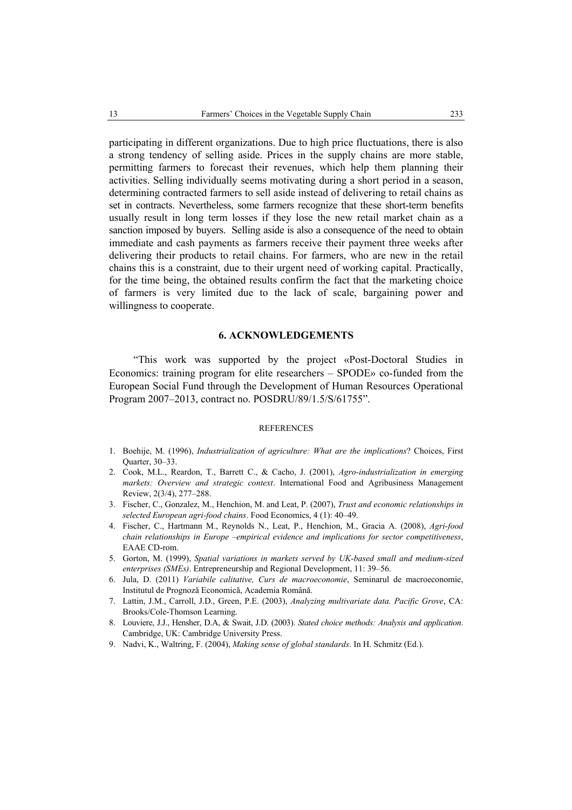participating in different organizations. Due to high price fluctuations, there is also a strong tendency of selling aside. Prices in the supply chains are more stable, permitting farmers to forecast their revenues, which help them planning their activities. Selling individually seems motivating during a short period in a season, determining contracted farmers to sell aside instead of delivering to retail chains as set in contracts. Nevertheless, some farmers recognize that these short-term benefits usually result in long term losses if they lose the new retail market chain as a sanction imposed by buyers. Selling aside is also a consequence of the need to obtain immediate and cash payments as farmers receive their payment three weeks after delivering their products to retail chains. For farmers, who are new in the retail chains this is a constraint, due to their urgent need of working capital. Practically, for the time being, the obtained results confirm the fact that the marketing choice of farmers is very limited due to the lack of scale, bargaining power and willingness to cooperate.

#### **6. ACKNOWLEDGEMENTS**

"This work was supported by the project «Post-Doctoral Studies in Economics: training program for elite researchers – SPODE» co-funded from the European Social Fund through the Development of Human Resources Operational Program 2007–2013, contract no. POSDRU/89/1.5/S/61755".

### **REFERENCES**

- 1. Boehije, M. (1996), *Industrialization of agriculture: What are the implications*? Choices, First Quarter, 30–33.
- 2. Cook, M.L., Reardon, T., Barrett C., & Cacho, J. (2001), *Agro-industrialization in emerging markets: Overview and strategic context*. International Food and Agribusiness Management Review, 2(3/4), 277–288.
- 3. Fischer, C., Gonzalez, M., Henchion, M. and Leat, P. (2007), *Trust and economic relationships in selected European agri-food chains*. Food Economics, 4 (1): 40–49.
- 4. Fischer, C., Hartmann M., Reynolds N., Leat, P., Henchion, M., Gracia A. (2008), *Agri-food chain relationships in Europe –empirical evidence and implications for sector competitiveness*, EAAE CD-rom.
- 5. Gorton, M. (1999), *Spatial variations in markets served by UK-based small and medium-sized enterprises (SMEs)*. Entrepreneurship and Regional Development, 11: 39–56.
- 6. Jula, D. (2011) *Variabile calitative, Curs de macroeconomie*, Seminarul de macroeconomie, Institutul de Prognoză Economică, Academia Română.
- 7. Lattin, J.M., Carroll, J.D., Green, P.E. (2003), *Analyzing multivariate data. Pacific Grove*, CA: Brooks/Cole-Thomson Learning.
- 8. Louviere, J.J., Hensher, D.A, & Swait, J.D. (2003). *Stated choice methods: Analysis and application*. Cambridge, UK: Cambridge University Press.
- 9. Nadvi, K., Waltring, F. (2004), *Making sense of global standards*. In H. Schmitz (Ed.).